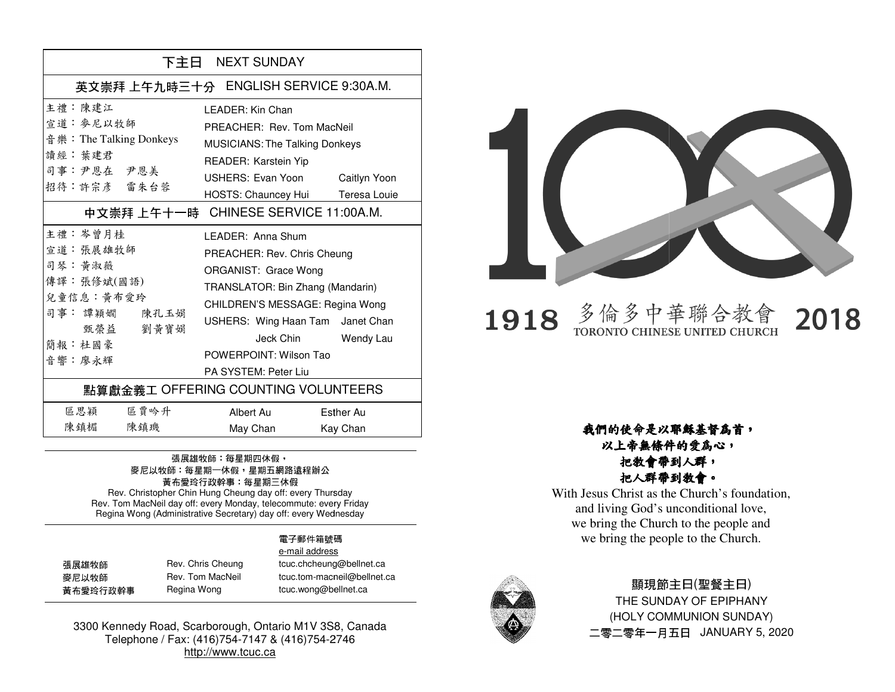| 下主日 NEXT SUNDAY                                                                                                                                    |                                                                                                                                                                                                                                        |                       |
|----------------------------------------------------------------------------------------------------------------------------------------------------|----------------------------------------------------------------------------------------------------------------------------------------------------------------------------------------------------------------------------------------|-----------------------|
| 英文崇拜 上午九時三十分 ENGLISH SERVICE 9:30A.M.                                                                                                              |                                                                                                                                                                                                                                        |                       |
| 主禮:陳建江<br>宣道: 麥尼以牧師<br>音 樂: The Talking Donkeys<br>讀經· 葉建君<br>司事:尹恩在 尹恩美<br>招待:許宗彥 雷朱台蓉                                                            | I FADFR: Kin Chan<br>PREACHER: Rev. Tom MacNeil<br><b>MUSICIANS: The Talking Donkeys</b><br>READER: Karstein Yip<br>USHERS: Evan Yoon Caitlyn Yoon<br>HOSTS: Chauncey Hui Teresa Louie                                                 |                       |
| 中文崇拜上午十一時 CHINESE SERVICE 11:00A.M.<br>主禮:岑曾月桂<br>宣道: 張展雄牧師<br>司琴:黃淑薇<br>傳譯:張修斌(國語)<br>兒童信息:黃布愛玲<br>司事: 譚穎嫺 陳孔玉娟<br>甄榮益 劉黃寶娟<br>簡報:杜國豪<br>音響 · 廖永輝 | I FADFR: Anna Shum<br>PREACHER: Rev. Chris Cheung<br>ORGANIST: Grace Wong<br>TRANSLATOR: Bin Zhang (Mandarin)<br>CHILDREN'S MESSAGE: Regina Wong<br>USHERS: Wing Haan Tam Janet Chan<br>POWERPOINT: Wilson Tao<br>PA SYSTEM: Peter Liu | Jeck Chin Wendy Lau   |
| 點算獻金義工 OFFERING COUNTING VOLUNTEERS                                                                                                                |                                                                                                                                                                                                                                        |                       |
| 區思穎<br>區賈吟升<br>陳鎮楣<br>陳鎮璣                                                                                                                          | Albert Au<br>May Chan                                                                                                                                                                                                                  | Esther Au<br>Kay Chan |

### 張展雄牧師: 每星期四休假, 麥尼以牧師:每星期一休假<sup>,</sup>星期五網路遠程辦公<br> 黃布愛玲行政幹事:每星期三休假

Rev. Christopher Chin Hung Cheung day off: every Thursday Rev. Tom MacNeil day off: every Monday, telecommute: every Friday Regina Wong (Administrative Secretary) day off: every WednesdayRev. Christopher Chin Hung Cheung day off: every Thursday<br>ev. Tom MacNeil day off: every Monday, telecommute: every Fr<br>Regina Wong (Administrative Secretary) day off: every Wedneso

#### **電子**郵件箱號碼電子

|          |                   | e-mail address              |
|----------|-------------------|-----------------------------|
| 張展雄牧師    | Rev. Chris Cheung | tcuc.chcheung@bellnet.ca    |
| 麥尼以牧師    | Rev. Tom MacNeil  | tcuc.tom-macneil@bellnet.ca |
| 黃布愛玲行政幹事 | Regina Wong       | tcuc.wong@bellnet.ca        |
|          |                   |                             |

3300 Kennedy Road, Scarborough, Ontario M1V 3S8, Canada Telephone / Fax: (416)754-7147 & (416)754-2746http://www.tcuc.ca



### 多倫多中華聯合教會<br>TORONTO CHINESE UNITED CHURCH 2018 1918

以上帝無條件的愛為心,把教會帶到人群,把人群帶到教會。

M1V Canada 2746我們的使命是以耶穌基督為首, With Jesus Christ as the Church's foundation, and living God's unconditional love, we bring the Church to the people and we bring the people to the Church.



### 顯現節主日(聖餐主日)

THE SUNDAY OF EPIPHANY (HOLY COMMUNION SUNDAY) 二零二零年一月五日 JANUARY 5, 2020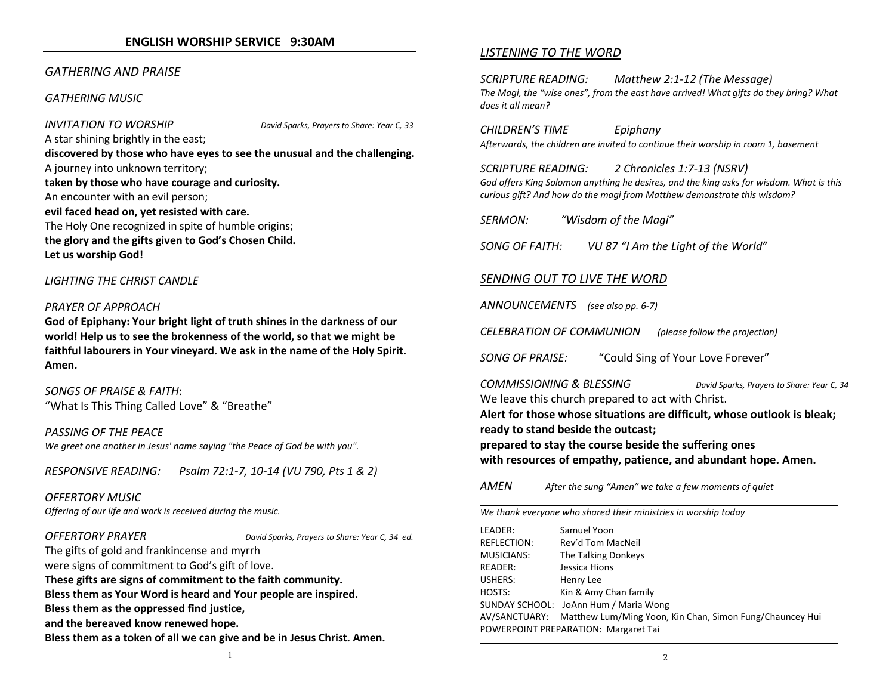#### GATHERING AND PRAISE

#### GATHERING MUSIC

INVITATION TO WORSHIP David Sparks, Prayers to Share: Year C, 33A star shining brightly in the east; discovered by those who have eyes to see the unusual and the challenging.A journey into unknown territory; taken by those who have courage and curiosity.An encounter with an evil person; evil faced head on, yet resisted with care.The Holy One recognized in spite of humble origins;the glory and the gifts given to God's Chosen Child. Let us worship God!

#### LIGHTING THE CHRIST CANDLE

#### PRAYER OF APPROACH

God of Epiphany: Your bright light of truth shines in the darkness of our world! Help us to see the brokenness of the world, so that we might be faithful labourers in Your vineyard. We ask in the name of the Holy Spirit. Amen.

SONGS OF PRAISE & FAITH: "What Is This Thing Called Love" & "Breathe"

PASSING OF THE PEACE We greet one another in Jesus' name saying "the Peace of God be with you".

RESPONSIVE READING: Psalm 72:1-7, 10-14 (VU 790, Pts 1 & 2)

OFFERTORY MUSICOffering of our life and work is received during the music.

OFFERTORY PRAYER David Sparks, Prayers to Share: Year C, 34 ed.

The gifts of gold and frankincense and myrrh were signs of commitment to God's gift of love. These gifts are signs of commitment to the faith community. Bless them as Your Word is heard and Your people are inspired. Bless them as the oppressed find justice, and the bereaved know renewed hope. Bless them as a token of all we can give and be in Jesus Christ. Amen.

#### LISTENING TO THE WORD

SCRIPTURE READING: Matthew 2:1-12 (The Message) The Magi, the "wise ones", from the east have arrived! What gifts do they bring? What does it all mean?

CHILDREN'S TIME Epiphany Afterwards, the children are invited to continue their worship in room 1, basement

SCRIPTURE READING: 2 Chronicles 1:7-13 (NSRV)

God offers King Solomon anything he desires, and the king asks for wisdom. What is this curious gift? And how do the magi from Matthew demonstrate this wisdom?

SERMON: "Wisdom of the Magi"

SONG OF FAITH: VU 87 "I Am the Light of the World"

#### SENDING OUT TO LIVE THE WORD

ANNOUNCEMENTS (see also pp. 6-7)

CELEBRATION OF COMMUNION (please follow the projection)

SONG OF PRAISE: "Could Sing of Your Love Forever"

COMMISSIONING & BLESSING David Sparks, Prayers to Share: Year C, 34 We leave this church prepared to act with Christ. Alert for those whose situations are difficult, whose outlook is bleak;

ready to stand beside the outcast;

prepared to stay the course beside the suffering ones with resources of empathy, patience, and abundant hope. Amen.

AMENAfter the sung "Amen" we take a few moments of quiet

We thank everyone who shared their ministries in worship today

| Samuel Yoon                                                            |  |  |
|------------------------------------------------------------------------|--|--|
| Rev'd Tom MacNeil                                                      |  |  |
| The Talking Donkeys                                                    |  |  |
| Jessica Hions                                                          |  |  |
| Henry Lee                                                              |  |  |
| Kin & Amy Chan family                                                  |  |  |
| SUNDAY SCHOOL: JoAnn Hum / Maria Wong                                  |  |  |
| AV/SANCTUARY: Matthew Lum/Ming Yoon, Kin Chan, Simon Fung/Chauncey Hui |  |  |
| POWERPOINT PREPARATION: Margaret Tai                                   |  |  |
|                                                                        |  |  |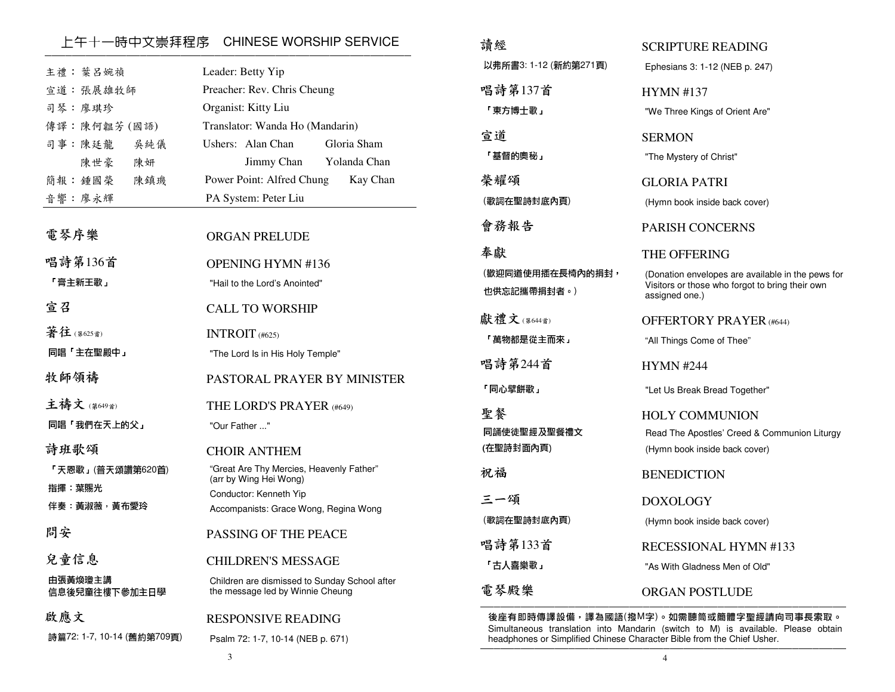### \_\_\_上午十一時中文崇拜程序 CHINESE WORSHIP SERVICE<br>————————————————————————————————

| 主禮: 葉 呂婉禎<br>宣道:張展雄牧師<br>司琴:廖琪珍<br>傳譯:陳何韞芳(國語)<br>司事:陳廷龍<br>吳純儀<br>陳世豪<br>陳妍 | Leader: Betty Yip<br>Preacher: Rev. Chris Cheung<br>Organist: Kitty Liu<br>Translator: Wanda Ho (Mandarin)<br>Ushers: Alan Chan<br>Gloria Sham<br>Jimmy Chan<br>Yolanda Chan |
|------------------------------------------------------------------------------|------------------------------------------------------------------------------------------------------------------------------------------------------------------------------|
| 簡報:鍾國榮<br>陳鎮璣                                                                | Power Point: Alfred Chung<br>Kay Chan                                                                                                                                        |
| 音響:廖永輝                                                                       | PA System: Peter Liu                                                                                                                                                         |
| 電琴序樂                                                                         | <b>ORGAN PRELUDE</b>                                                                                                                                                         |
| 唱詩第136首                                                                      | <b>OPENING HYMN #136</b>                                                                                                                                                     |
| 「膏主新王歌」                                                                      | "Hail to the Lord's Anointed"                                                                                                                                                |
| 宣召                                                                           | <b>CALL TO WORSHIP</b>                                                                                                                                                       |
| 著往(第625首)                                                                    | INTROIT $(#625)$                                                                                                                                                             |
| 同唱「主在聖殿中」                                                                    | "The Lord Is in His Holy Temple"                                                                                                                                             |
| 牧師領禱                                                                         | PASTORAL PRAYER BY MINISTER                                                                                                                                                  |
| 主禱文(第649首)                                                                   | THE LORD'S PRAYER (#649)                                                                                                                                                     |
| 同唱「我們在天上的父」                                                                  | "Our Father "                                                                                                                                                                |
| 詩班歌頌                                                                         | <b>CHOIR ANTHEM</b>                                                                                                                                                          |
| 「天恩歌」(普天頌讚第620首)                                                             | "Great Are Thy Mercies, Heavenly Father"<br>(arr by Wing Hei Wong)                                                                                                           |
| 指揮 葉賜光                                                                       | Conductor: Kenneth Yip                                                                                                                                                       |
| 伴奏 黃淑薇,黃布愛玲                                                                  | Accompanists: Grace Wong, Regina Wong                                                                                                                                        |
| 問安                                                                           | <b>PASSING OF THE PEACE</b>                                                                                                                                                  |
| 兒童信息                                                                         | <b>CHILDREN'S MESSAGE</b>                                                                                                                                                    |
| 由張黃煥瓊主講<br>信息後兒童往樓下參加主日學                                                     | Children are dismissed to Sunday School after<br>the message led by Winnie Cheung                                                                                            |
| 啟應文                                                                          | RESPONSIVE READING                                                                                                                                                           |
| 詩篇72: 1-7, 10-14 (舊約第709頁)                                                   | Psalm 72: 1-7, 10-14 (NEB p. 671)                                                                                                                                            |

| 請經                                    | <b>SCRIPTURE READING</b>                                                                                                               |
|---------------------------------------|----------------------------------------------------------------------------------------------------------------------------------------|
| 以弗所書3: 1-12 (新約第271頁)                 | Ephesians 3: 1-12 (NEB p. 247)                                                                                                         |
| 唱詩第137首<br>「東方博士歌」                    | <b>HYMN #137</b><br>"We Three Kings of Orient Are"                                                                                     |
| 宣道<br>「基督的奧秘」                         | <b>SERMON</b><br>"The Mystery of Christ"                                                                                               |
| 榮耀頌<br>(歌詞在聖詩封底內頁)                    | GLORIA PATRI<br>(Hymn book inside back cover)                                                                                          |
| 會務報告                                  | <b>PARISH CONCERNS</b>                                                                                                                 |
| 奉獻<br>(歡迎同道使用插在長椅內的捐封,<br>也供忘記攜帶捐封者。) | THE OFFERING<br>(Donation envelopes are available in the pews for<br>Visitors or those who forgot to bring their own<br>assigned one.) |
| 獻禮文(第644首)<br>「萬物都是從主而來」              | <b>OFFERTORY PRAYER (#644)</b><br>"All Things Come of Thee"                                                                            |
| 唱詩第244首                               | <b>HYMN #244</b>                                                                                                                       |
| 「同心壁餅歌」                               | "Let Us Break Bread Together"                                                                                                          |
| 聖餐<br>同誦使徒聖經及聖餐禮文<br>(在聖詩封面內頁)        | <b>HOLY COMMUNION</b><br>Read The Apostles' Creed & Communion Liturgy<br>(Hymn book inside back cover)                                 |
| 祝福                                    | <b>BENEDICTION</b>                                                                                                                     |
| 三一頌<br>(歌詞在聖詩封底內頁)                    | <b>DOXOLOGY</b><br>(Hymn book inside back cover)                                                                                       |
| 唱詩第133首                               | RECESSIONAL HYMN #133                                                                                                                  |
| 「古人喜樂歌」<br>電琴殿樂                       | "As With Gladness Men of Old"<br>ORGAN POSTLUDE                                                                                        |

後座有即時傳譯設備,譯為國語(撥M字)。如需聽筒或簡體字聖經請向司事長索取。 Simultaneous translation into Mandarin (switch to M) is available. Please obtain headphones or Simplified Chinese Character Bible from the Chief Usher.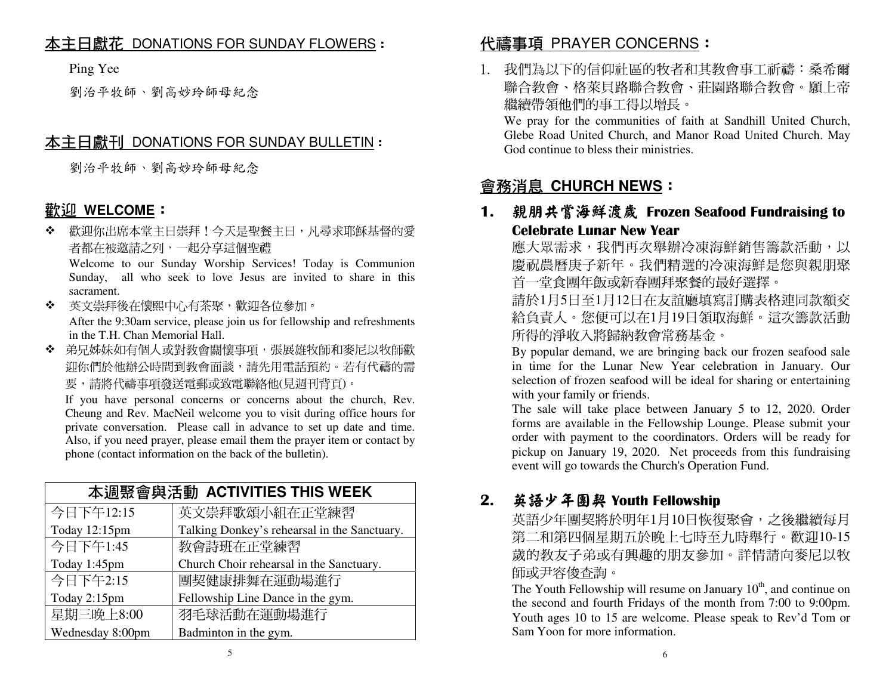## <u>本主日獻花 DONATIONS FOR SUNDAY FLOWERS</u> :<br>.

Ping Yee

劉治平牧師、劉高妙玲師母紀念

## <u>本主日獻刊 DONATIONS FOR SUNDAY BULLETIN</u> :<br>.

劉治平牧師、劉高妙玲師母紀念

## <u>歡迎 WELCOME</u>:<br>◆ 警選を出席本堂主

◆ 歡迎你出席本堂主日崇拜!今天是聖餐主日,凡尋求耶穌基督的愛<br>———————————————————— 者都在被邀請之列,一起分享這個聖禮

 Welcome to our Sunday Worship Services! Today is Communion Sunday, all who seek to love Jesus are invited to share in this sacrament.

 英文崇拜後在懷熙中心有茶聚,歡迎各位參加。 $\mathbf{A}^{\mathbf{r}}$ 

 After the 9:30am service, please join us for fellowship and refreshments in the T.H. Chan Memorial Hall.

 弟兄姊妹如有個人或對教會關懷事項,張展雄牧師和麥尼以牧師歡 迎你們於他辦公時間到教會面談,請先用電話預約。若有代禱的需要,請將代禱事項發送電郵或致電聯絡他(見週刊背頁)。

 If you have personal concerns or concerns about the church, Rev. Cheung and Rev. MacNeil welcome you to visit during office hours for private conversation. Please call in advance to set up date and time. Also, if you need prayer, please email them the prayer item or contact by phone (contact information on the back of the bulletin).

| 本週聚會與活動 ACTIVITIES THIS WEEK |                                              |  |
|------------------------------|----------------------------------------------|--|
| 今日下午12:15                    | 英文崇拜歌頌小組在正堂練習                                |  |
| Today 12:15pm                | Talking Donkey's rehearsal in the Sanctuary. |  |
| 今日下午1:45                     | 教會詩班在正堂練習                                    |  |
| Today 1:45pm                 | Church Choir rehearsal in the Sanctuary.     |  |
| 今日下午2:15                     | 團契健康排舞在運動場進行                                 |  |
| Today 2:15pm                 | Fellowship Line Dance in the gym.            |  |
| 星期三晚上8:00                    | 羽毛球活動在運動場進行                                  |  |
| Wednesday 8:00pm             | Badminton in the gym.                        |  |

# 代禱事項 PRAYER CONCERNS:

1. 我們為以下的信仰社區的牧者和其教會事工祈禱:桑希爾 聯合教會、格萊貝路聯合教會、莊園路聯合教會。願上帝繼續帶領他們的事工得以增長。

 We pray for the communities of faith at Sandhill United Church, Glebe Road United Church, and Manor Road United Church. May God continue to bless their ministries.

# 會務消息 **CHURCH NEWS**:

1. 親朋共嘗海鮮渡歲 Frozen Seafood Fundraising to<br>Celebrate Lunar New Year Celebrate Lunar New Year

應大眾需求,我們再次舉辦冷凍海鮮銷售籌款活動,以 慶祝農曆庚子新年。我們精選的冷凍海鮮是您與親朋聚首一堂食團年飯或新春團拜聚餐的最好選擇。

 請於1月5日至1月12日在友誼廳填寫訂購表格連同款額交 給負責人。您便可以在1月19日領取海鮮。這次籌款活動所得的淨收入將歸納教會常務基金。

 By popular demand, we are bringing back our frozen seafood sale in time for the Lunar New Year celebration in January. Our selection of frozen seafood will be ideal for sharing or entertaining with your family or friends.

 The sale will take place between January 5 to 12, 2020. Order forms are available in the Fellowship Lounge. Please submit your order with payment to the coordinators. Orders will be ready for pickup on January 19, 2020. Net proceeds from this fundraising event will go towards the Church's Operation Fund.

# 2. 英語少年團契 Youth Fellowship<br>苏語少年團製略於胆年1日10日恢復

英語少年團契將於明年1月10日恢復聚會,之後繼續每月 第二和第四個星期五於晚上七時至九時舉行。歡迎10-15 歲的教友子弟或有興趣的朋友參加。詳情請向麥尼以牧師或尹容俊查詢。

The Youth Fellowship will resume on January  $10<sup>th</sup>$ , and continue on the second and fourth Fridays of the month from 7:00 to 9:00pm. Youth ages 10 to 15 are welcome. Please speak to Rev'd Tom or Sam Yoon for more information.